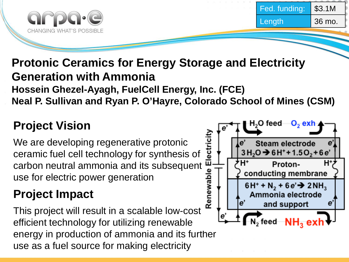

### **Protonic Ceramics for Energy Storage and Electricity Generation with Ammonia Hossein Ghezel-Ayagh, FuelCell Energy, Inc. (FCE) Neal P. Sullivan and Ryan P. O'Hayre, Colorado School of Mines (CSM)**

## **Project Vision**

We are developing regenerative protonic ceramic fuel cell technology for synthesis of We are developing regenerative protonic<br>ceramic fuel cell technology for synthesis of<br>carbon neutral ammonia and its subsequent<br>use for electric power generation<br>**Project Impact** use for electric power generation

## **Project Impact**

This project will result in a scalable low-cost efficient technology for utilizing renewable energy in production of ammonia and its further use as a fuel source for making electricity

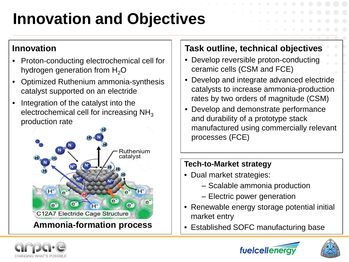# **Innovation and Objectives**

#### **Innovation**

- Proton-conducting electrochemical cell for hydrogen generation from  $H_2O$
- Optimized Ruthenium ammonia-synthesis catalyst supported on an electride
- Integration of the catalyst into the electrochemical cell for increasing  $NH<sub>3</sub>$ production rate



#### **Task outline, technical objectives**

- Develop reversible proton-conducting ceramic cells (CSM and FCE)
- Develop and integrate advanced electride catalysts to increase ammonia-production rates by two orders of magnitude (CSM)
- Develop and demonstrate performance and durability of a prototype stack manufactured using commercially relevant processes (FCE)

#### **Tech-to-Market strategy**

- Dual market strategies:
	- ‒ Scalable ammonia production
	- ‒ Electric power generation
- Renewable energy storage potential initial market entry
- **Ammonia-formation process** | |  $\cdot$  Established SOFC manufacturing base





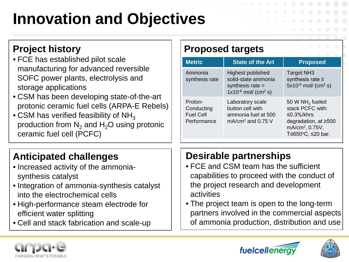# **Innovation and Objectives**

### **Project history**

- FCE has established pilot scale manufacturing for advanced reversible SOFC power plants, electrolysis and storage applications
- CSM has been developing state-of-the-art protonic ceramic fuel cells (ARPA-E Rebels)
- CSM has verified feasibility of NH<sub>3</sub> production from  $N_2$  and  $H_2O$  using protonic ceramic fuel cell (PCFC)

# **Anticipated challenges**

- Increased activity of the ammoniasynthesis catalyst
- Integration of ammonia-synthesis catalyst into the electrochemical cells
- High-performance steam electrode for efficient water splitting
- Cell and stack fabrication and scale-up

### **Proposed targets**

| <b>Metric</b>                                            | <b>State of the Art</b>                                                                                | <b>Proposed</b>                                                                                                                                 |
|----------------------------------------------------------|--------------------------------------------------------------------------------------------------------|-------------------------------------------------------------------------------------------------------------------------------------------------|
| Ammonia<br>synthesis rate                                | Highest published<br>solid-state ammonia<br>synthesis rate $=$<br>$1x10^{-8}$ mol/ (cm <sup>2</sup> s) | <b>Target NH3</b><br>synthesis rate $\ge$<br>$5x10^{-8}$ mol/ (cm <sup>2</sup> s)                                                               |
| Proton-<br>Conducting<br><b>Fuel Cell</b><br>Performance | Laboratory scale<br>button cell with<br>ammonia fuel at 500<br>$mA/cm2$ and 0.75 V                     | 50 W NH <sub>3</sub> fueled<br>stack PCFC with:<br>≤0.3%/khrs<br>degradation, at $\geq 500$<br>mA/cm <sup>2</sup> , 0.75V,<br>T≤650°C, ≤20 bar. |

### **Desirable partnerships**

- FCE and CSM team has the sufficient capabilities to proceed with the conduct of the project research and development activities
- The project team is open to the long-term partners involved in the commercial aspects of ammonia production, distribution and use